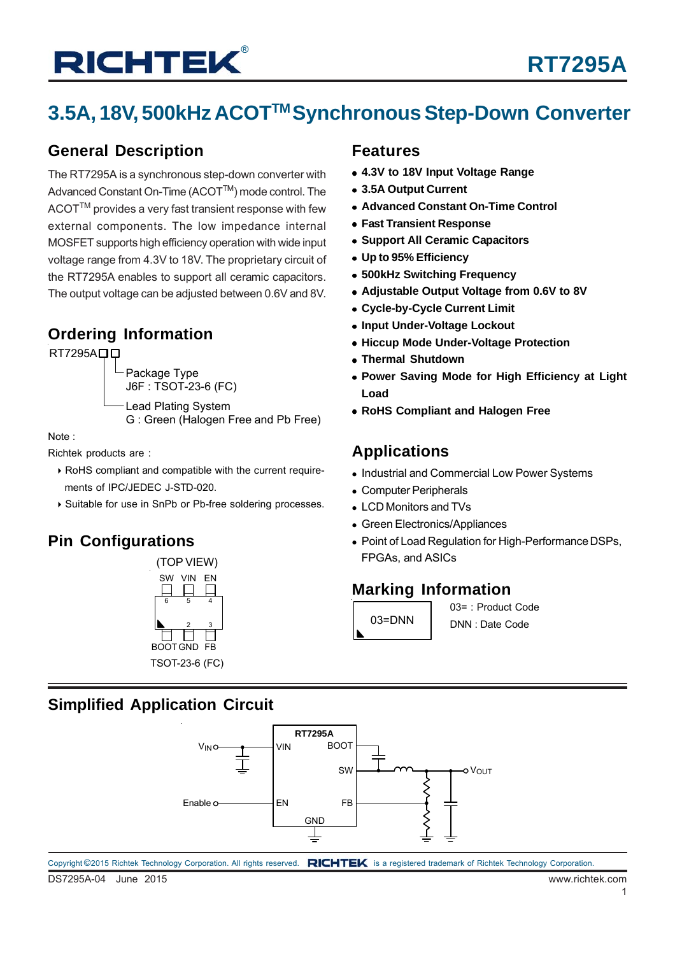## **3.5A, 18V, 500kHz ACOTTM SynchronousStep-Down Converter**

### **General Description**

The RT7295A is a synchronous step-down converter with Advanced Constant On-Time (ACOT™) mode control. The ACOT™ provides a very fast transient response with few external components. The low impedance internal MOSFET supports high efficiency operation with wide input voltage range from 4.3V to 18V. The proprietary circuit of the RT7295A enables to support all ceramic capacitors. The output voltage can be adjusted between 0.6V and 8V.

### **Ordering Information**

RT7295A<sub>D</sub>

Package Type J6F : TSOT-23-6 (FC) Lead Plating System

G : Green (Halogen Free and Pb Free)

Note :

Richtek products are :

- ▶ RoHS compliant and compatible with the current requirements of IPC/JEDEC J-STD-020.
- ▶ Suitable for use in SnPb or Pb-free soldering processes.

## **Pin Configurations**



### **Features**

- **4.3V to 18V Input Voltage Range**
- **3.5A Output Current**
- **Advanced Constant On-Time Control**
- **Fast Transient Response**
- **Support All Ceramic Capacitors**
- **Up to 95% Efficiency**
- **500kHz Switching Frequency**
- **Adjustable Output Voltage from 0.6V to 8V**
- **Cycle-by-Cycle Current Limit**
- **Input Under-Voltage Lockout**
- **Hiccup Mode Under-Voltage Protection**
- **Thermal Shutdown**
- **Power Saving Mode for High Efficiency at Light Load**
- **RoHS Compliant and Halogen Free**

### **Applications**

- Industrial and Commercial Low Power Systems
- Computer Peripherals
- LCD Monitors and TVs
- Green Electronics/Appliances
- Point of Load Regulation for High-Performance DSPs, FPGAs, and ASICs

### **Marking Information**



03= : Product Code DNN : Date Code

### **Simplified Application Circuit**

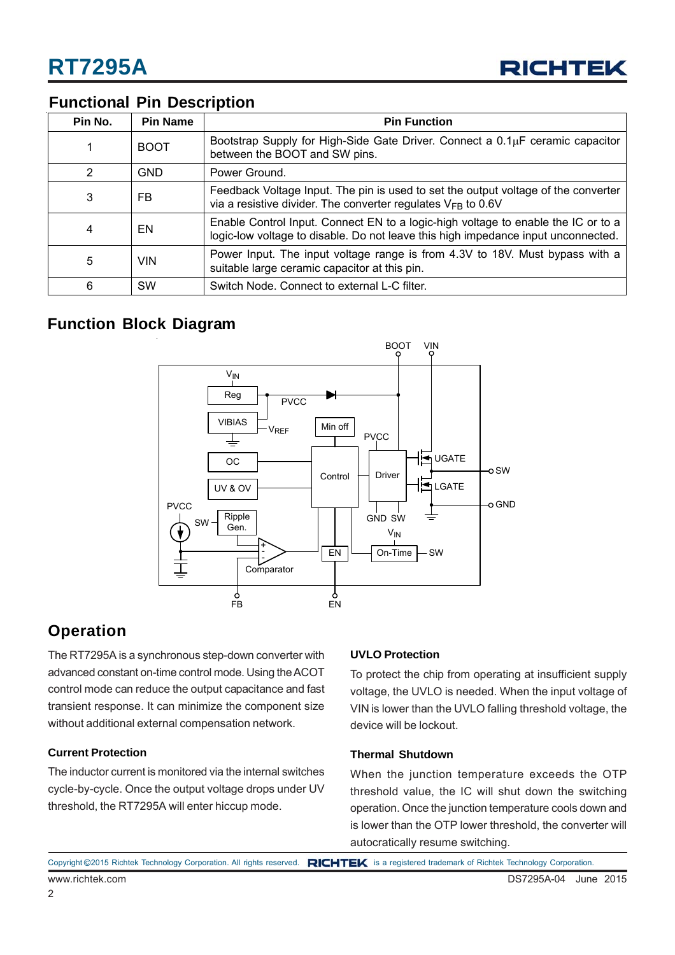

### **Functional Pin Description**

| Pin No. | <b>Pin Name</b> | <b>Pin Function</b>                                                                                                                                                    |
|---------|-----------------|------------------------------------------------------------------------------------------------------------------------------------------------------------------------|
|         | <b>BOOT</b>     | Bootstrap Supply for High-Side Gate Driver. Connect a $0.1\mu$ F ceramic capacitor<br>between the BOOT and SW pins.                                                    |
| っ       | <b>GND</b>      | Power Ground.                                                                                                                                                          |
| 3       | <b>FB</b>       | Feedback Voltage Input. The pin is used to set the output voltage of the converter<br>via a resistive divider. The converter regulates $V_{FB}$ to 0.6V                |
| 4       | EN              | Enable Control Input. Connect EN to a logic-high voltage to enable the IC or to a<br>logic-low voltage to disable. Do not leave this high impedance input unconnected. |
| 5       | <b>VIN</b>      | Power Input. The input voltage range is from 4.3V to 18V. Must bypass with a<br>suitable large ceramic capacitor at this pin.                                          |
| 6       | <b>SW</b>       | Switch Node. Connect to external L-C filter.                                                                                                                           |

### **Function Block Diagram**



### **Operation**

The RT7295A is a synchronous step-down converter with advanced constant on-time control mode. Using the ACOT control mode can reduce the output capacitance and fast transient response. It can minimize the component size without additional external compensation network.

### **Current Protection**

The inductor current is monitored via the internal switches cycle-by-cycle. Once the output voltage drops under UV threshold, the RT7295A will enter hiccup mode.

### **UVLO Protection**

To protect the chip from operating at insufficient supply voltage, the UVLO is needed. When the input voltage of VIN is lower than the UVLO falling threshold voltage, the device will be lockout.

### **Thermal Shutdown**

When the junction temperature exceeds the OTP threshold value, the IC will shut down the switching operation. Once the junction temperature cools down and is lower than the OTP lower threshold, the converter will autocratically resume switching.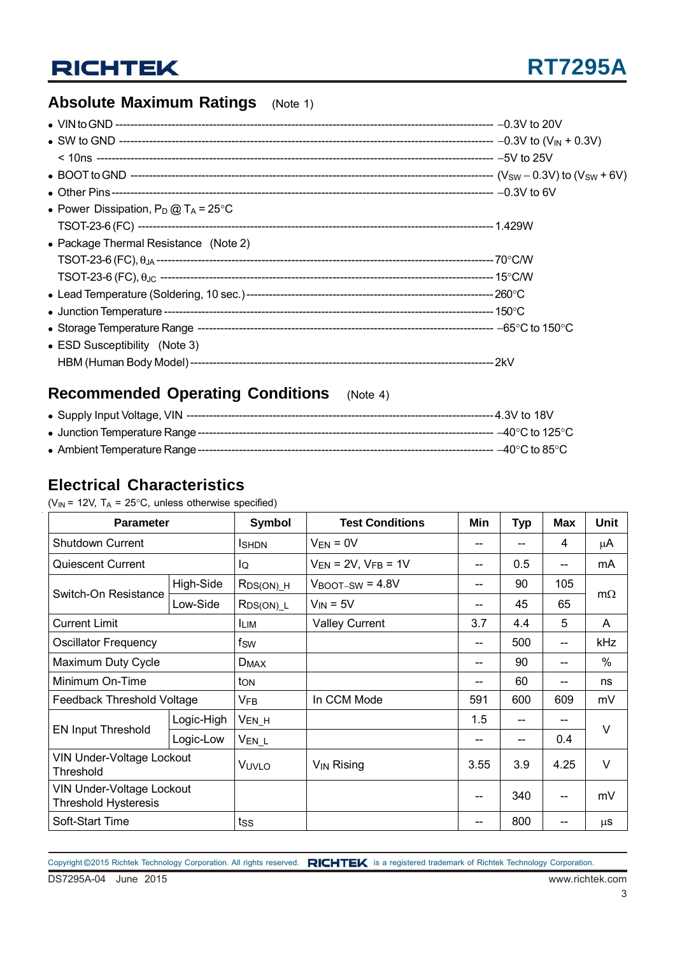## **Absolute Maximum Ratings** (Note 1)

| • Power Dissipation, $P_D @ T_A = 25^{\circ}C$ |  |
|------------------------------------------------|--|
|                                                |  |
| • Package Thermal Resistance (Note 2)          |  |
|                                                |  |
|                                                |  |
|                                                |  |
|                                                |  |
|                                                |  |
| • ESD Susceptibility (Note 3)                  |  |
|                                                |  |

## **Recommended Operating Conditions** (Note 4)

### **Electrical Characteristics**

( $V_{IN}$  = 12V, T<sub>A</sub> = 25°C, unless otherwise specified)

| <b>Parameter</b>                                         |            | Symbol            | <b>Test Conditions</b>       | Min               | <b>Typ</b> | <b>Max</b> | Unit      |  |
|----------------------------------------------------------|------------|-------------------|------------------------------|-------------------|------------|------------|-----------|--|
| <b>Shutdown Current</b>                                  |            | <b>I</b> SHDN     | $V_{EN} = 0V$                | --                |            | 4          | μA        |  |
| <b>Quiescent Current</b>                                 |            | lQ                | $V_{EN}$ = 2V, $V_{FB}$ = 1V | --                | 0.5        | --         | mA        |  |
|                                                          | High-Side  | $R_{DS(ON)}$ H    | $V_{\text{BOOT-SW}}$ = 4.8V  | --                | 90         | 105        | $m\Omega$ |  |
| Switch-On Resistance                                     | Low-Side   | $RDS(ON)$ _L      | $V_{IN} = 5V$                | --                | 45         | 65         |           |  |
| <b>Current Limit</b>                                     |            | <b>ILIM</b>       | <b>Valley Current</b>        | 3.7               | 4.4        | 5          | A         |  |
| <b>Oscillator Frequency</b>                              |            | fsw               |                              | --                | 500        | --         | kHz       |  |
| Maximum Duty Cycle                                       |            | $D_{MAX}$         |                              | --                | 90         |            | $\%$      |  |
| Minimum On-Time                                          |            | ton               |                              | --                | 60         | --         | ns        |  |
| Feedback Threshold Voltage                               |            | <b>VFB</b>        | In CCM Mode                  | 591               | 600        | 609        | mV        |  |
|                                                          | Logic-High | $V_{EN_H}$        |                              | 1.5               | $-$        | --         | $\vee$    |  |
| <b>EN Input Threshold</b>                                | Logic-Low  | V <sub>EN_L</sub> |                              | --                |            | 0.4        |           |  |
| <b>VIN Under-Voltage Lockout</b><br>Threshold            |            | VUVLO             | $V_{\mathsf{IN}}$ Rising     | 3.55              | 3.9        | 4.25       | $\vee$    |  |
| VIN Under-Voltage Lockout<br><b>Threshold Hysteresis</b> |            |                   |                              | $\hspace{0.05cm}$ | 340        | --         | mV        |  |
| Soft-Start Time                                          |            | tss               |                              | --                | 800        |            | μS        |  |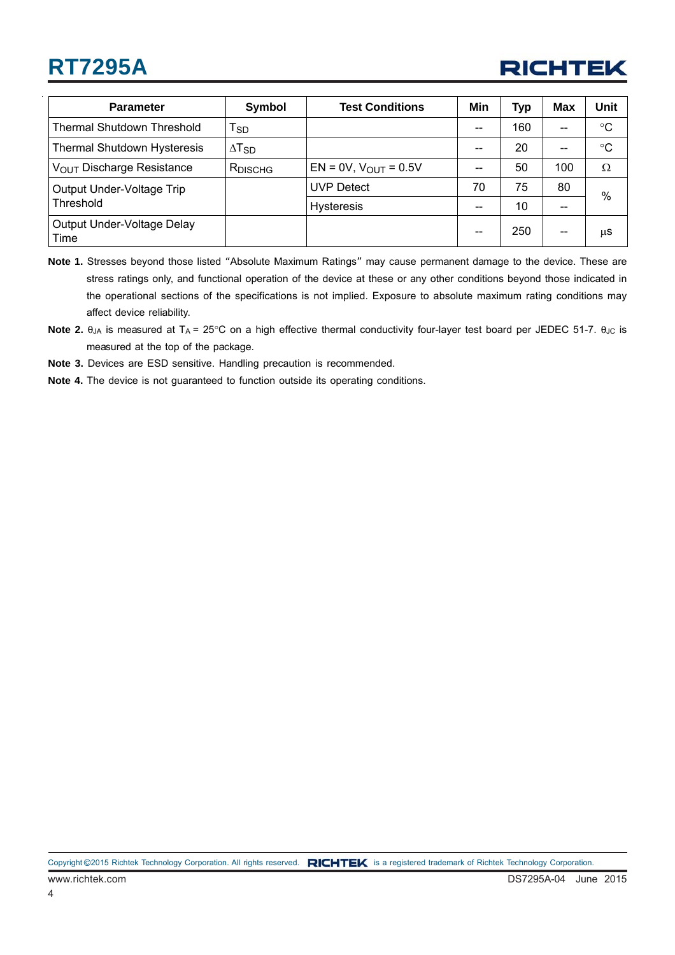## **RT7295A**



| <b>Parameter</b>                      | Symbol                   | <b>Test Conditions</b>       | Min   | <b>Typ</b> | Max | Unit        |
|---------------------------------------|--------------------------|------------------------------|-------|------------|-----|-------------|
| <b>Thermal Shutdown Threshold</b>     | $T_{SD}$                 |                              | --    | 160        | --  | °C          |
| <b>Thermal Shutdown Hysteresis</b>    | $\Delta$ T <sub>SD</sub> |                              | $- -$ | 20         | --  | $^{\circ}C$ |
| V <sub>OUT</sub> Discharge Resistance | <b>RDISCHG</b>           | $EN = 0V$ , $V_{OUT} = 0.5V$ |       | 50         | 100 | $\Omega$    |
| Output Under-Voltage Trip             |                          | <b>UVP Detect</b>            | 70    | 75         | 80  | $\%$        |
| Threshold                             |                          | <b>Hysteresis</b>            | --    | 10         | --  |             |
| Output Under-Voltage Delay<br>Time    |                          |                              | $- -$ | 250        | $-$ | μS          |

**Note 1.** Stresses beyond those listed "Absolute Maximum Ratings" may cause permanent damage to the device. These are stress ratings only, and functional operation of the device at these or any other conditions beyond those indicated in the operational sections of the specifications is not implied. Exposure to absolute maximum rating conditions may affect device reliability.

**Note 3.** Devices are ESD sensitive. Handling precaution is recommended.

**Note 4.** The device is not guaranteed to function outside its operating conditions.

**Note 2.**  $θ_{JA}$  is measured at T<sub>A</sub> = 25°C on a high effective thermal conductivity four-layer test board per JEDEC 51-7.  $θ_{JC}$  is measured at the top of the package.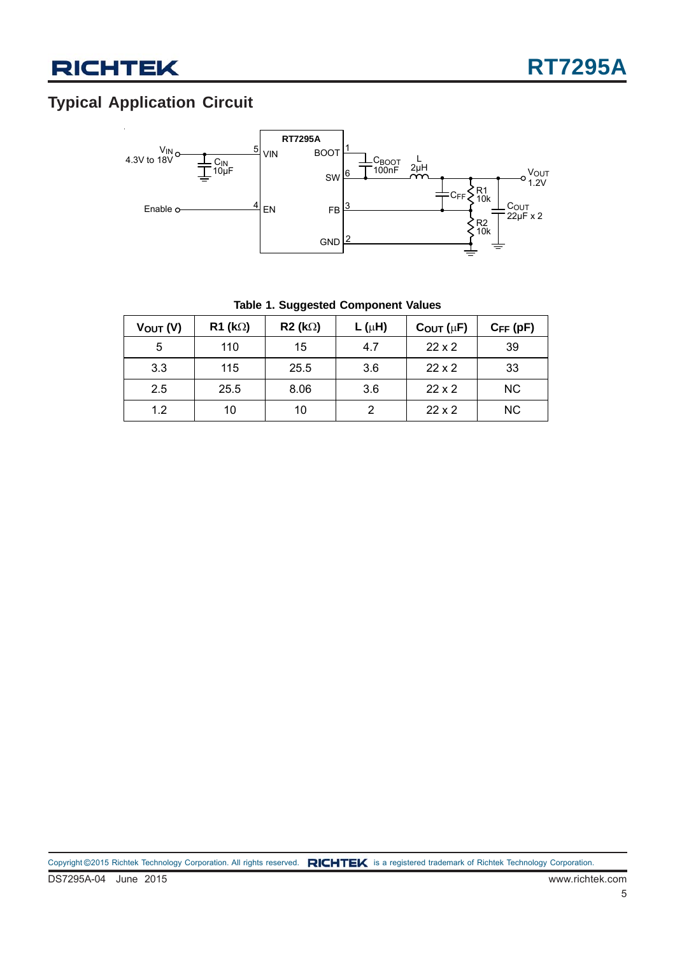## **Typical Application Circuit**



|  |  |  | Table 1. Suggested Component Values |  |
|--|--|--|-------------------------------------|--|
|--|--|--|-------------------------------------|--|

| $V_{OUT} (V)$ | $R1$ (k $\Omega$ ) | R2 (k) | $L(\mu H)$     | $C_{OUT}(\mu F)$ | $C_{FF}$ (pF) |
|---------------|--------------------|--------|----------------|------------------|---------------|
| 5             | 110                | 15     | 4.7            | $22 \times 2$    | 39            |
| 3.3           | 115                | 25.5   | 3.6            | $22 \times 2$    | 33            |
| 2.5           | 25.5               | 8.06   | 3.6            | $22 \times 2$    | <b>NC</b>     |
| 1.2           | 10                 | 10     | $\overline{2}$ | $22 \times 2$    | <b>NC</b>     |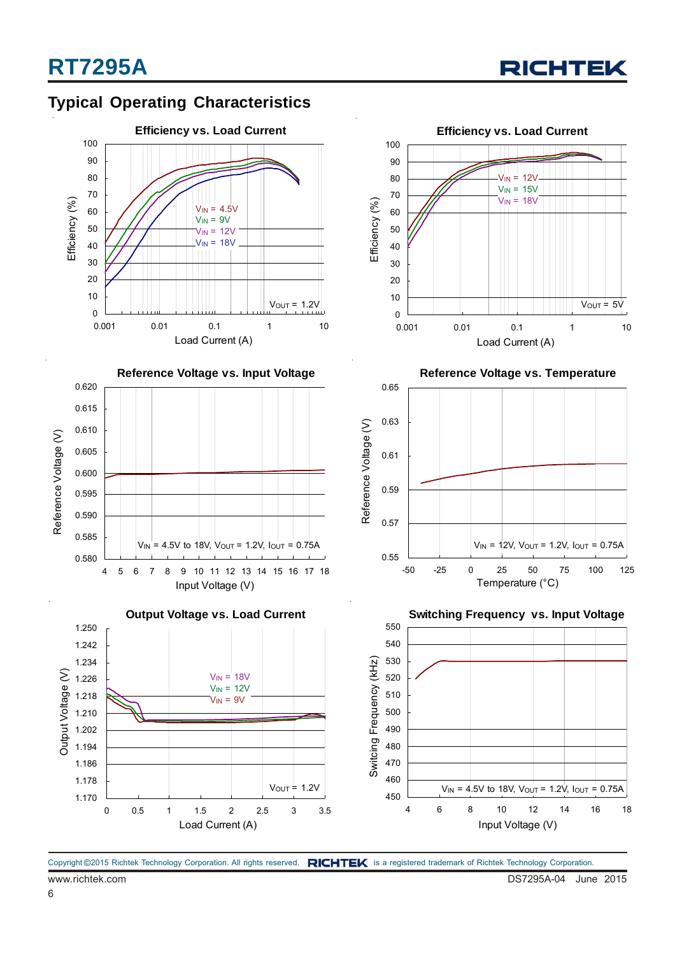





4 5 6 7 8 9 10 11 12 13 14 15 16 17 18 Input Voltage (V)

 $V_{\text{IN}}$  = 4.5V to 18V,  $V_{\text{OUT}}$  = 1.2V,  $I_{\text{OUT}}$  = 0.75A



**Reference Voltage vs. Temperature**



**Output Voltage vs. Load Current Switching Frequency vs. Input Voltage** 1.250 550 540 1.242 Switcing Frequency (kHz) 1.234 530 Switcing Frequency (kHz) Output Voltage (V) Output Voltage (V)  $V_{IN} = 18V$ 520 1.226  $V_{IN} = 12V$ 510 1.218  $V_{IN} = 9V$ 500 1.210 490 1.202 480 1.194 1.186 470 1.178 460  $V_{OUT} = 1.2V$  $V_{IN} = 4.5V$  to 18V,  $V_{OUT} = 1.2V$ ,  $I_{OUT} = 0.75A$ 450 1.170 4 6 8 10 12 14 16 18 0 0.5 1 1.5 2 2.5 3 3.5 Load Current (A) Input Voltage (V)



0.580 0.585 0.590 0.595 0.600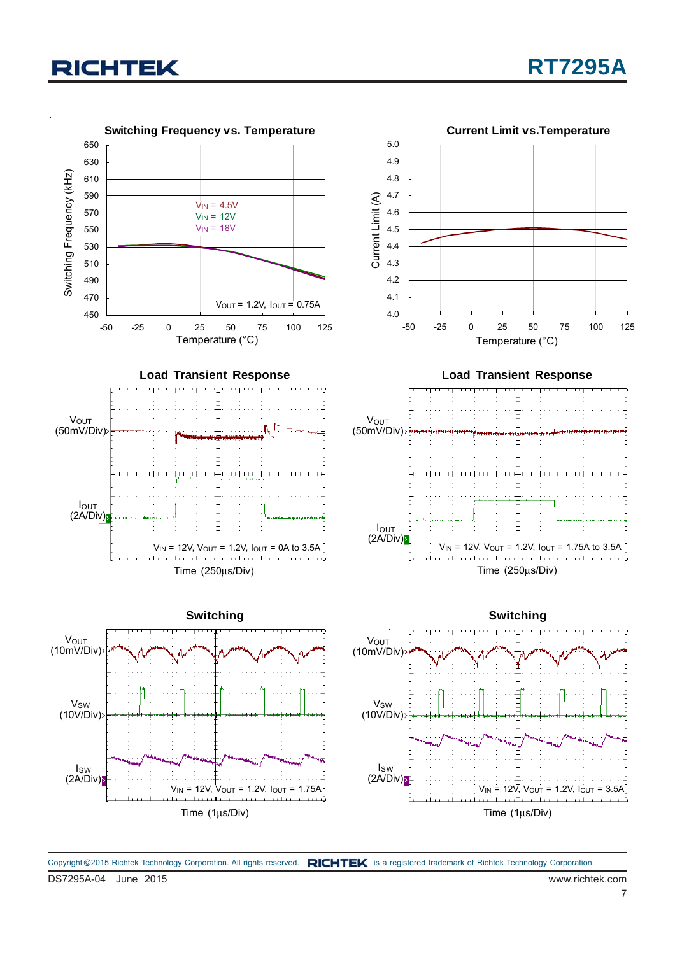

DS7295A-04 June 2015 www.richtek.com Copyright ©2015 Richtek Technology Corporation. All rights reserved. RICHTEK is a registered trademark of Richtek Technology Corporation.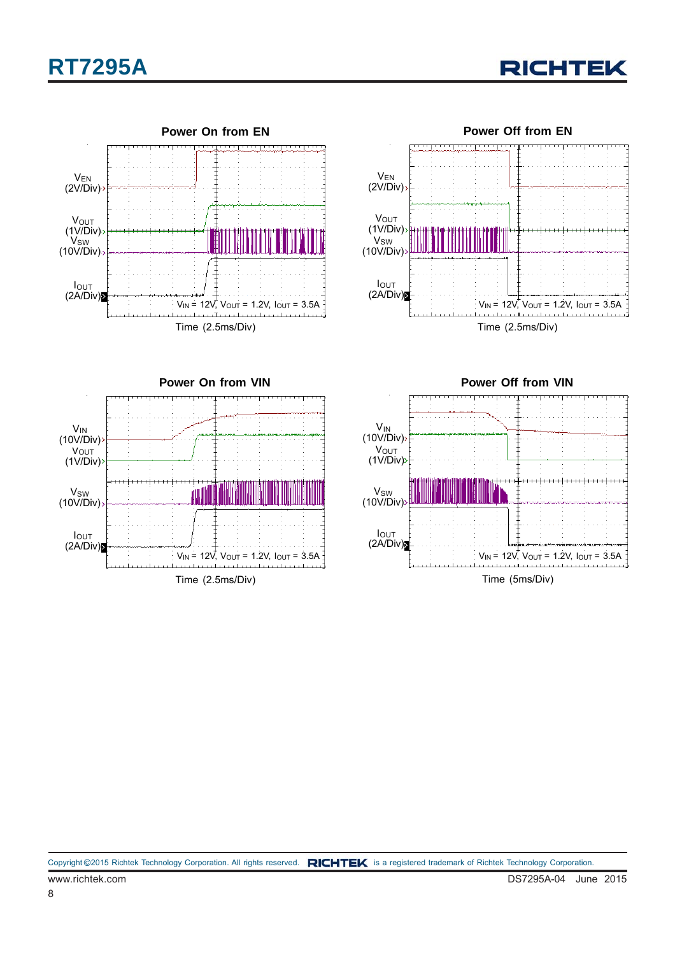









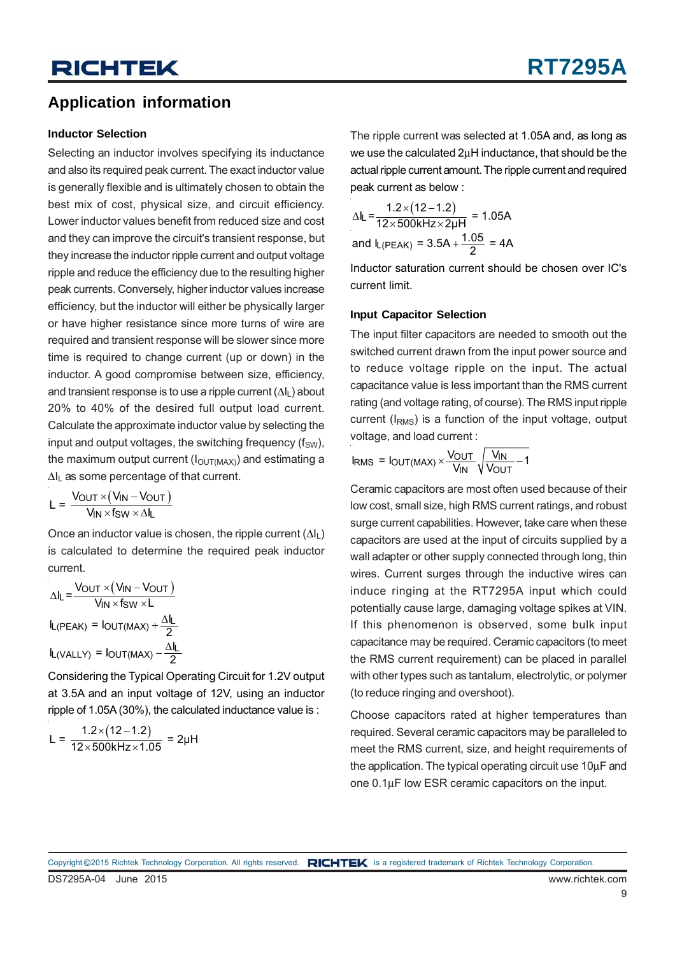### **Application information**

#### **Inductor Selection**

Selecting an inductor involves specifying its inductance and also its required peak current. The exact inductor value is generally flexible and is ultimately chosen to obtain the best mix of cost, physical size, and circuit efficiency. Lower inductor values benefit from reduced size and cost and they can improve the circuit's transient response, but they increase the inductor ripple current and output voltage ripple and reduce the efficiency due to the resulting higher peak currents. Conversely, higher inductor values increase efficiency, but the inductor will either be physically larger or have higher resistance since more turns of wire are required and transient response will be slower since more time is required to change current (up or down) in the inductor. A good compromise between size, efficiency, and transient response is to use a ripple current  $(\Delta I_L)$  about 20% to 40% of the desired full output load current. Calculate the approximate inductor value by selecting the input and output voltages, the switching frequency  $(f_{SW})$ , the maximum output current  $(I<sub>OUT(MAX)</sub>)$  and estimating a ΔIL as some percentage of that current.

$$
L = \frac{V_{OUT} \times (V_{IN} - V_{OUT})}{V_{IN} \times f_{SW} \times \Delta I_L}
$$

Once an inductor value is chosen, the ripple current  $(\Delta I_L)$ is calculated to determine the required peak inductor current.

$$
\Delta I_{L} = \frac{V_{OUT} \times (V_{IN} - V_{OUT})}{V_{IN} \times f_{SW} \times L}
$$

$$
I_{L(PEAK)} = I_{OUT(MAX)} + \frac{\Delta I_{L}}{2}
$$

$$
I_{L(VALLY)} = I_{OUT(MAX)} - \frac{\Delta I_{L}}{2}
$$

Considering the Typical Operating Circuit for 1.2V output at 3.5A and an input voltage of 12V, using an inductor ripple of 1.05A (30%), the calculated inductance value is :

$$
L = \frac{1.2 \times (12 - 1.2)}{12 \times 500 \text{kHz} \times 1.05} = 2 \mu \text{H}
$$

The ripple current was selected at 1.05A and, as long as we use the calculated 2μH inductance, that should be the actual ripple current amount. The ripple current and required peak current as below :

$$
\Delta I_{L} = \frac{1.2 \times (12 - 1.2)}{12 \times 500 \text{kHz} \times 2 \mu \text{H}} = 1.05 \text{A}
$$
  
and I\_{L(PEAK)} = 3.5 \text{A} + \frac{1.05}{2} = 4 \text{A}

Inductor saturation current should be chosen over IC's current limit.

### **Input Capacitor Selection**

The input filter capacitors are needed to smooth out the switched current drawn from the input power source and to reduce voltage ripple on the input. The actual capacitance value is less important than the RMS current rating (and voltage rating, of course). The RMS input ripple current (IRMS) is a function of the input voltage, output voltage, and load current :

$$
I_{RMS} = I_{OUT(MAX)} \times \frac{V_{OUT}}{V_{IN}} \sqrt{\frac{V_{IN}}{V_{OUT}} - 1}
$$

Ceramic capacitors are most often used because of their low cost, small size, high RMS current ratings, and robust surge current capabilities. However, take care when these capacitors are used at the input of circuits supplied by a wall adapter or other supply connected through long, thin wires. Current surges through the inductive wires can induce ringing at the RT7295A input which could potentially cause large, damaging voltage spikes at VIN. If this phenomenon is observed, some bulk input capacitance may be required. Ceramic capacitors (to meet the RMS current requirement) can be placed in parallel with other types such as tantalum, electrolytic, or polymer (to reduce ringing and overshoot).

Choose capacitors rated at higher temperatures than required. Several ceramic capacitors may be paralleled to meet the RMS current, size, and height requirements of the application. The typical operating circuit use 10μF and one 0.1μF low ESR ceramic capacitors on the input.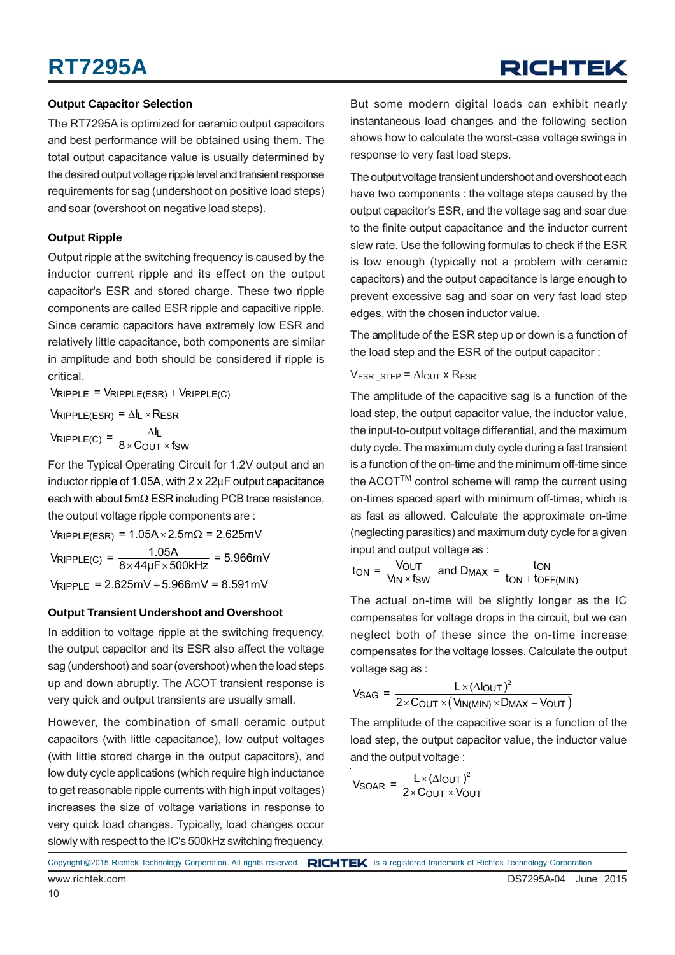## **RT7295A**

## RICHTEK

#### **Output Capacitor Selection**

The RT7295A is optimized for ceramic output capacitors and best performance will be obtained using them. The total output capacitance value is usually determined by the desired output voltage ripple level and transient response requirements for sag (undershoot on positive load steps) and soar (overshoot on negative load steps).

#### **Output Ripple**

Output ripple at the switching frequency is caused by the inductor current ripple and its effect on the output capacitor's ESR and stored charge. These two ripple components are called ESR ripple and capacitive ripple. Since ceramic capacitors have extremely low ESR and relatively little capacitance, both components are similar in amplitude and both should be considered if ripple is critical.

 $V_{\text{RIPPLE}} = V_{\text{RIPPLE(ESR)}} + V_{\text{RIPPLE(C)}}$ 

 $V_{\text{RIPPLE(ESR)}} = \Delta I_L \times R_{\text{ESR}}$ Δ  $V_{\sf RIPPLE(C)} = \frac{\Delta I_{\sf L}}{8 \times \text{C_{OUT}} \times \text{fsw}}$ 

For the Typical Operating Circuit for 1.2V output and an inductor ripple of 1.05A, with 2 x 22μF output capacitance each with about 5mΩ ESR including PCB trace resistance, the output voltage ripple components are :

 $V_{RIPPLE(ESR)} = 1.05A \times 2.5m\Omega = 2.625mV$  $V_{\text{RIPPLE(C)}} = \frac{1.05 \text{A}}{8 \times 44 \text{ }\text{F} \times 500 \text{kHz}} = 5.966 \text{mV}$  $V_{RIPPI F}$  = 2.625mV + 5.966mV = 8.591mV

#### **Output Transient Undershoot and Overshoot**

In addition to voltage ripple at the switching frequency, the output capacitor and its ESR also affect the voltage sag (undershoot) and soar (overshoot) when the load steps up and down abruptly. The ACOT transient response is very quick and output transients are usually small.

However, the combination of small ceramic output capacitors (with little capacitance), low output voltages (with little stored charge in the output capacitors), and low duty cycle applications (which require high inductance to get reasonable ripple currents with high input voltages) increases the size of voltage variations in response to very quick load changes. Typically, load changes occur slowly with respect to the IC's 500kHz switching frequency.

But some modern digital loads can exhibit nearly instantaneous load changes and the following section shows how to calculate the worst-case voltage swings in response to very fast load steps.

The output voltage transient undershoot and overshoot each have two components : the voltage steps caused by the output capacitor's ESR, and the voltage sag and soar due to the finite output capacitance and the inductor current slew rate. Use the following formulas to check if the ESR is low enough (typically not a problem with ceramic capacitors) and the output capacitance is large enough to prevent excessive sag and soar on very fast load step edges, with the chosen inductor value.

The amplitude of the ESR step up or down is a function of the load step and the ESR of the output capacitor :

#### $V_{ESR}$  STEP =  $\Delta I_{OUT}$  x R<sub>ESR</sub>

The amplitude of the capacitive sag is a function of the load step, the output capacitor value, the inductor value, the input-to-output voltage differential, and the maximum duty cycle. The maximum duty cycle during a fast transient is a function of the on-time and the minimum off-time since the  $ACOT^{TM}$  control scheme will ramp the current using on-times spaced apart with minimum off-times, which is as fast as allowed. Calculate the approximate on-time (neglecting parasitics) and maximum duty cycle for a given input and output voltage as :

$$
t_{ON} = \frac{V_{OUT}}{V_{IN} \times f_{SW}}
$$
 and  $D_{MAX} = \frac{t_{ON}}{t_{ON} + t_{OFF(MIN)}}$ 

The actual on-time will be slightly longer as the IC compensates for voltage drops in the circuit, but we can neglect both of these since the on-time increase compensates for the voltage losses. Calculate the output voltage sag as :

$$
V_{SAG} = \frac{L \times (\Delta I_{OUT})^2}{2 \times C_{OUT} \times (V_{IN(MIN)} \times D_{MAX} - V_{OUT})}
$$

The amplitude of the capacitive soar is a function of the load step, the output capacitor value, the inductor value and the output voltage :

$$
V_{\text{SOAR}} = \frac{L \times (\Delta I_{\text{OUT}})^2}{2 \times \text{C_{OUT}} \times \text{V_{OUT}}}
$$

Copyright ©2015 Richtek Technology Corporation. All rights reserved. RICHTEK is a registered trademark of Richtek Technology Corporation.

10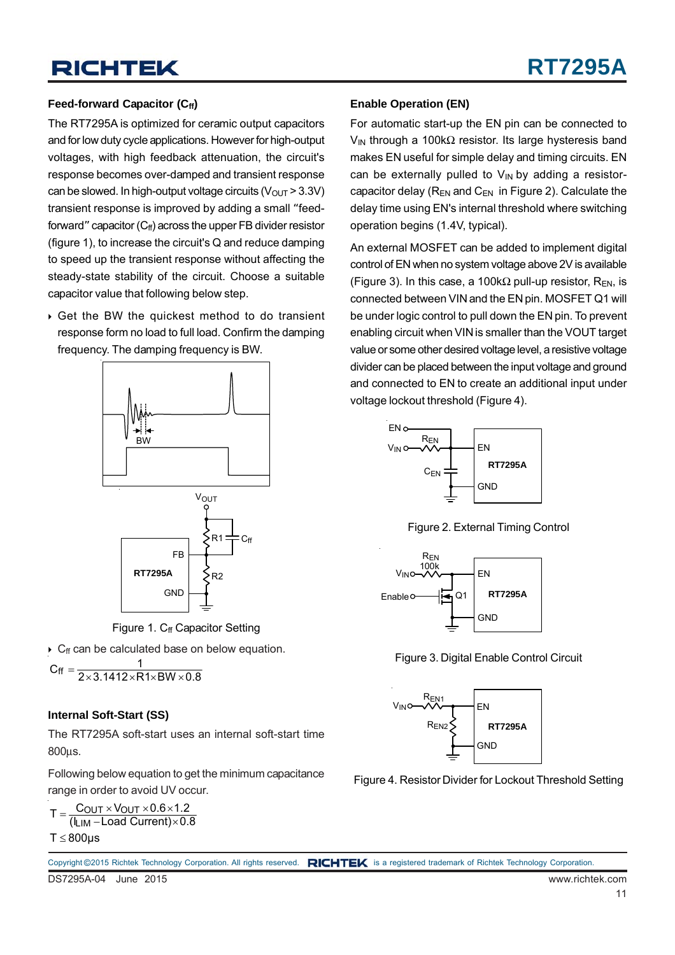### Feed-forward Capacitor (C<sub>ff</sub>)

The RT7295A is optimized for ceramic output capacitors and for low duty cycle applications. However for high-output voltages, with high feedback attenuation, the circuit's response becomes over-damped and transient response can be slowed. In high-output voltage circuits ( $V<sub>OUT</sub> > 3.3V$ ) transient response is improved by adding a small "feedforward" capacitor  $(C_f)$  across the upper FB divider resistor (figure 1), to increase the circuit's Q and reduce damping to speed up the transient response without affecting the steady-state stability of the circuit. Choose a suitable capacitor value that following below step.

 Get the BW the quickest method to do transient response form no load to full load. Confirm the damping frequency. The damping frequency is BW.



Figure 1.  $C_f$  Capacitor Setting

 $\triangleright$  C<sub>ff</sub> can be calculated base on below equation.

 $C_{\text{ff}} = \frac{1}{2 \times 3.1412 \times R1 \times BW \times 0.8}$ 

#### **Internal Soft-Start (SS)**

The RT7295A soft-start uses an internal soft-start time 800μs.

Following below equation to get the minimum capacitance range in order to avoid UV occur.

 $T = \frac{C_{\text{OUT}} \times V_{\text{OUT}} \times 0.6 \times 1.2}{(I_{\text{LIM}} - \text{Load Current}) \times 0.8}$  $T \le 800 \mu s$  $C_{OUT}$   $\times$   $V_{OUT}$   $\times$  0.6 $\times$ 1.2

#### **Enable Operation (EN)**

For automatic start-up the EN pin can be connected to  $V_{\text{IN}}$  through a 100kΩ resistor. Its large hysteresis band makes EN useful for simple delay and timing circuits. EN can be externally pulled to  $V_{IN}$  by adding a resistorcapacitor delay ( $R_{EN}$  and  $C_{EN}$  in Figure 2). Calculate the delay time using EN's internal threshold where switching operation begins (1.4V, typical).

An external MOSFET can be added to implement digital control of EN when no system voltage above 2V is available (Figure 3). In this case, a 100k $\Omega$  pull-up resistor, R<sub>EN</sub>, is connected between VIN and the EN pin. MOSFET Q1 will be under logic control to pull down the EN pin. To prevent enabling circuit when VIN is smaller than the VOUT target value or some other desired voltage level, a resistive voltage divider can be placed between the input voltage and ground and connected to EN to create an additional input under voltage lockout threshold (Figure 4).



Figure 2. External Timing Control



Figure 3. Digital Enable Control Circuit



Figure 4. Resistor Divider for Lockout Threshold Setting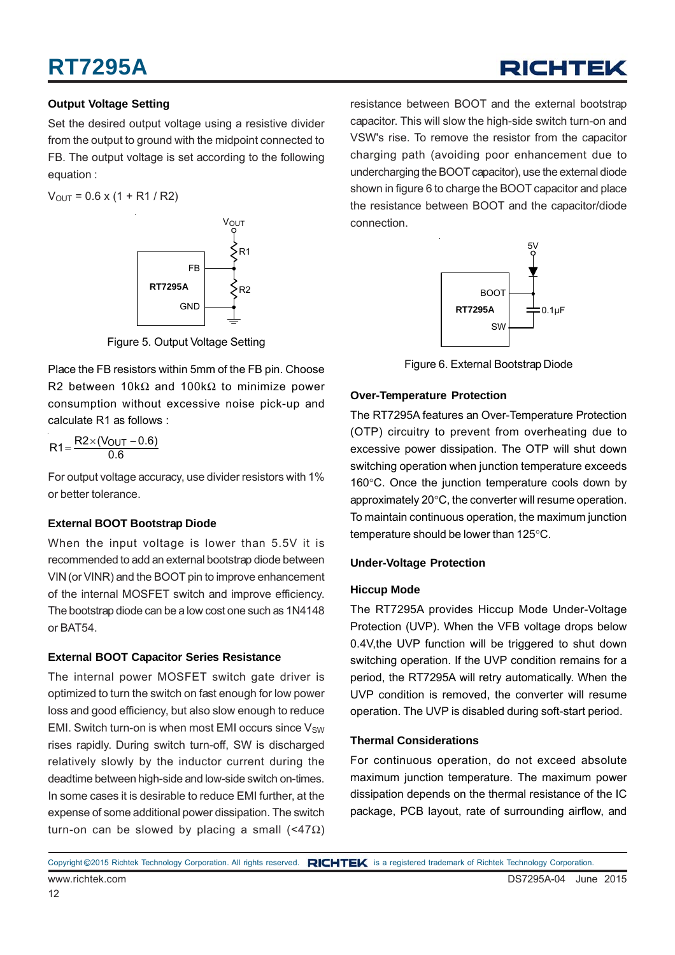### **Output Voltage Setting**

Set the desired output voltage using a resistive divider from the output to ground with the midpoint connected to FB. The output voltage is set according to the following equation :

 $V_{\text{OUT}} = 0.6 \times (1 + R1 / R2)$ 



Figure 5. Output Voltage Setting

Place the FB resistors within 5mm of the FB pin. Choose R2 between 10kΩ and 100kΩ to minimize power consumption without excessive noise pick-up and calculate R1 as follows :

$$
R1 = \frac{R2 \times (V_{OUT} - 0.6)}{0.6}
$$

For output voltage accuracy, use divider resistors with 1% or better tolerance.

### **External BOOT Bootstrap Diode**

When the input voltage is lower than 5.5V it is recommended to add an external bootstrap diode between VIN (or VINR) and the BOOT pin to improve enhancement of the internal MOSFET switch and improve efficiency. The bootstrap diode can be a low cost one such as 1N4148 or BAT54.

### **External BOOT Capacitor Series Resistance**

The internal power MOSFET switch gate driver is optimized to turn the switch on fast enough for low power loss and good efficiency, but also slow enough to reduce EMI. Switch turn-on is when most EMI occurs since  $V_{SW}$ rises rapidly. During switch turn-off, SW is discharged relatively slowly by the inductor current during the deadtime between high-side and low-side switch on-times. In some cases it is desirable to reduce EMI further, at the expense of some additional power dissipation. The switch turn-on can be slowed by placing a small  $($ <47Ω)

resistance between BOOT and the external bootstrap capacitor. This will slow the high-side switch turn-on and VSW's rise. To remove the resistor from the capacitor charging path (avoiding poor enhancement due to undercharging the BOOT capacitor), use the external diode shown in figure 6 to charge the BOOT capacitor and place the resistance between BOOT and the capacitor/diode connection.



Figure 6. External Bootstrap Diode

### **Over-Temperature Protection**

The RT7295A features an Over-Temperature Protection (OTP) circuitry to prevent from overheating due to excessive power dissipation. The OTP will shut down switching operation when junction temperature exceeds 160°C. Once the junction temperature cools down by approximately 20°C, the converter will resume operation. To maintain continuous operation, the maximum junction temperature should be lower than 125°C.

### **Under-Voltage Protection**

### **Hiccup Mode**

The RT7295A provides Hiccup Mode Under-Voltage Protection (UVP). When the VFB voltage drops below 0.4V, the UVP function will be triggered to shut down switching operation. If the UVP condition remains for a period, the RT7295A will retry automatically. When the UVP condition is removed, the converter will resume operation. The UVP is disabled during soft-start period.

### **Thermal Considerations**

For continuous operation, do not exceed absolute maximum junction temperature. The maximum power dissipation depends on the thermal resistance of the IC package, PCB layout, rate of surrounding airflow, and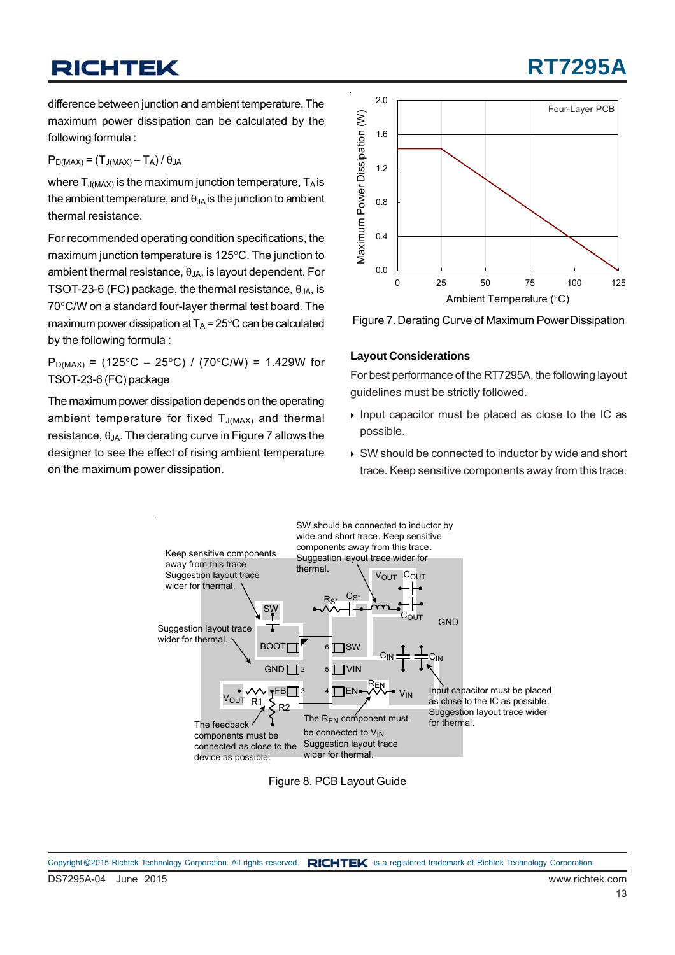## **RT7295**

difference between junction and ambient temperature. The maximum power dissipation can be calculated by the following formula :

 $P_{D(MAX)} = (T_{J(MAX)} - T_A) / \theta_{JA}$ 

where  $T_{J(MAX)}$  is the maximum junction temperature,  $T_A$  is the ambient temperature, and  $\theta_{JA}$  is the junction to ambient thermal resistance.

For recommended operating condition specifications, the maximum junction temperature is 125°C. The junction to ambient thermal resistance,  $\theta_{JA}$ , is layout dependent. For TSOT-23-6 (FC) package, the thermal resistance,  $\theta_{JA}$ , is 70°C/W on a standard four-layer thermal test board. The maximum power dissipation at  $T_A = 25^{\circ}$ C can be calculated by the following formula :

P<sub>D(MAX)</sub> = (125°C – 25°C) / (70°C/W) = 1.429W for TSOT-23-6 (FC) package

The maximum power dissipation depends on the operating ambient temperature for fixed  $T_{J(MAX)}$  and thermal resistance,  $θ_{JA}$ . The derating curve in Figure 7 allows the designer to see the effect of rising ambient temperature on the maximum power dissipation.





### **Layout Considerations**

For best performance of the RT7295A, the following layout guidelines must be strictly followed.

- $\triangleright$  Input capacitor must be placed as close to the IC as possible.
- ▶ SW should be connected to inductor by wide and short trace. Keep sensitive components away from this trace.



Figure 8. PCB Layout Guide

DS7295A-04 June 2015 www.richtek.com Copyright ©2015 Richtek Technology Corporation. All rights reserved. RICHTEK is a registered trademark of Richtek Technology Corporation.